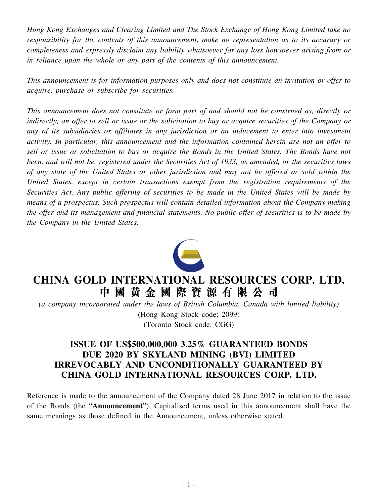*Hong Kong Exchanges and Clearing Limited and The Stock Exchange of Hong Kong Limited take no responsibility for the contents of this announcement, make no representation as to its accuracy or completeness and expressly disclaim any liability whatsoever for any loss howsoever arising from or in reliance upon the whole or any part of the contents of this announcement.*

*This announcement is for information purposes only and does not constitute an invitation or offer to acquire, purchase or subscribe for securities.*

*This announcement does not constitute or form part of and should not be construed as, directly or* indirectly, an offer to sell or issue or the solicitation to buy or acquire securities of the Company or *any of its subsidiaries or affiliates in any jurisdiction or an inducement to enter into investment activity. In particular, this announcement and the information contained herein are not an offer to* sell or issue or solicitation to buy or acquire the Bonds in the United States. The Bonds have not been, and will not be, registered under the Securities Act of 1933, as amended, or the securities laws of any state of the United States or other jurisdiction and may not be offered or sold within the *United States, except in certain transactions exempt from the registration requirements of the Securities Act. Any public offering of securities to be made in the United States will be made by means of a prospectus. Such prospectus will contain detailed information about the Company making* the offer and its management and financial statements. No public offer of securities is to be made by *the Company in the United States.*



## **CHINA GOLD INTERNATIONAL RESOURCES CORP. LTD. 中 國 黃 金 國 際 資 源 有 限 公 司**

*(a company incorporated under the laws of British Columbia, Canada with limited liability)* (Hong Kong Stock code: 2099) (Toronto Stock code: CGG)

## **ISSUE OF US\$500,000,000 3.25% GUARANTEED BONDS DUE 2020 BY SKYLAND MINING (BVI) LIMITED IRREVOCABLY AND UNCONDITIONALLY GUARANTEED BY CHINA GOLD INTERNATIONAL RESOURCES CORP. LTD.**

Reference is made to the announcement of the Company dated 28 June 2017 in relation to the issue of the Bonds (the "**Announcement**"). Capitalised terms used in this announcement shall have the same meanings as those defined in the Announcement, unless otherwise stated.